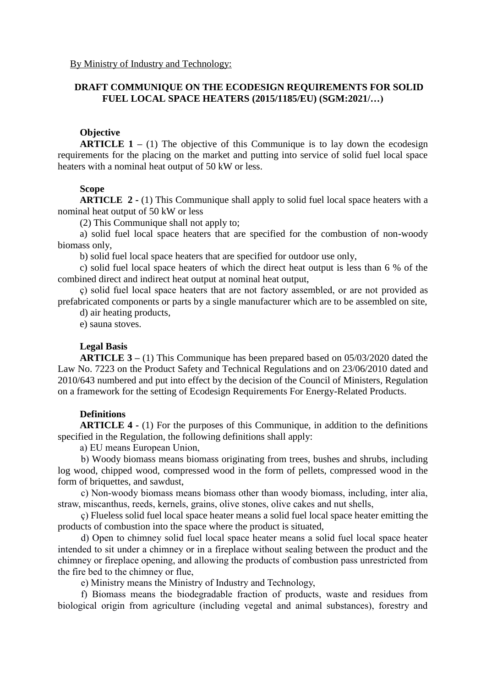### **DRAFT COMMUNIQUE ON THE ECODESIGN REQUIREMENTS FOR SOLID FUEL LOCAL SPACE HEATERS (2015/1185/EU) (SGM:2021/…)**

### **Objective**

**ARTICLE 1** – (1) The objective of this Communique is to lay down the ecodesign requirements for the placing on the market and putting into service of solid fuel local space heaters with a nominal heat output of 50 kW or less.

#### **Scope**

**ARTICLE 2 -** (1) This Communique shall apply to solid fuel local space heaters with a nominal heat output of 50 kW or less

(2) This Communique shall not apply to;

a) solid fuel local space heaters that are specified for the combustion of non-woody biomass only,

b) solid fuel local space heaters that are specified for outdoor use only,

c) solid fuel local space heaters of which the direct heat output is less than 6 % of the combined direct and indirect heat output at nominal heat output,

ç) solid fuel local space heaters that are not factory assembled, or are not provided as prefabricated components or parts by a single manufacturer which are to be assembled on site,

d) air heating products,

e) sauna stoves.

### **Legal Basis**

**ARTICLE 3 –** (1) This Communique has been prepared based on 05/03/2020 dated the Law No. 7223 on the Product Safety and Technical Regulations and on 23/06/2010 dated and 2010/643 numbered and put into effect by the decision of the Council of Ministers, Regulation on a framework for the setting of Ecodesign Requirements For Energy-Related Products.

### **Definitions**

**ARTICLE 4 -** (1) For the purposes of this Communique, in addition to the definitions specified in the Regulation, the following definitions shall apply:

a) EU means European Union,

b) Woody biomass means biomass originating from trees, bushes and shrubs, including log wood, chipped wood, compressed wood in the form of pellets, compressed wood in the form of briquettes, and sawdust,

c) Non-woody biomass means biomass other than woody biomass, including, inter alia, straw, miscanthus, reeds, kernels, grains, olive stones, olive cakes and nut shells,

ç) Flueless solid fuel local space heater means a solid fuel local space heater emitting the products of combustion into the space where the product is situated,

d) Open to chimney solid fuel local space heater means a solid fuel local space heater intended to sit under a chimney or in a fireplace without sealing between the product and the chimney or fireplace opening, and allowing the products of combustion pass unrestricted from the fire bed to the chimney or flue,

e) Ministry means the Ministry of Industry and Technology,

f) Biomass means the biodegradable fraction of products, waste and residues from biological origin from agriculture (including vegetal and animal substances), forestry and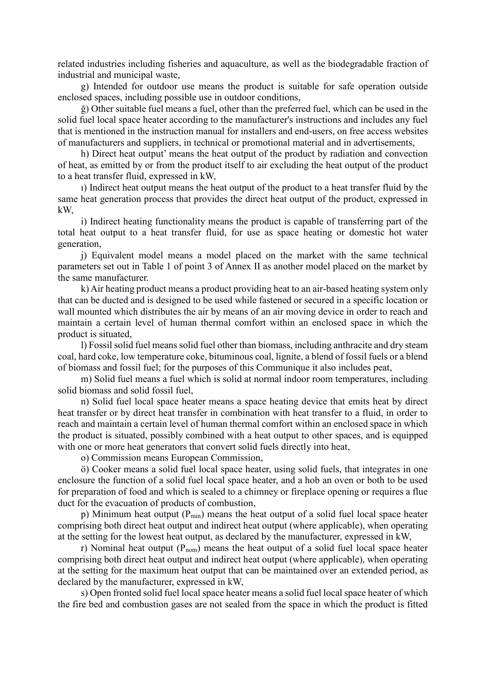related industries including fisheries and aquaculture, as well as the biodegradable fraction of industrial and municipal waste,

g) Intended for outdoor use means the product is suitable for safe operation outside enclosed spaces, including possible use in outdoor conditions,

ğ) Other suitable fuel means a fuel, other than the preferred fuel, which can be used in the solid fuel local space heater according to the manufacturer's instructions and includes any fuel that is mentioned in the instruction manual for installers and end-users, on free access websites of manufacturers and suppliers, in technical or promotional material and in advertisements,

h) Direct heat output' means the heat output of the product by radiation and convection of heat, as emitted by or from the product itself to air excluding the heat output of the product to a heat transfer fluid, expressed in kW,

ı) Indirect heat output means the heat output of the product to a heat transfer fluid by the same heat generation process that provides the direct heat output of the product, expressed in kW,

i) Indirect heating functionality means the product is capable of transferring part of the total heat output to a heat transfer fluid, for use as space heating or domestic hot water generation,

j) Equivalent model means a model placed on the market with the same technical parameters set out in Table 1 of point 3 of Annex II as another model placed on the market by the same manufacturer.

k) Air heating product means a product providing heat to an air-based heating system only that can be ducted and is designed to be used while fastened or secured in a specific location or wall mounted which distributes the air by means of an air moving device in order to reach and maintain a certain level of human thermal comfort within an enclosed space in which the product is situated,

l) Fossil solid fuel means solid fuel other than biomass, including anthracite and dry steam coal, hard coke, low temperature coke, bituminous coal, lignite, a blend of fossil fuels or a blend of biomass and fossil fuel; for the purposes of this Communique it also includes peat,

m) Solid fuel means a fuel which is solid at normal indoor room temperatures, including solid biomass and solid fossil fuel,

n) Solid fuel local space heater means a space heating device that emits heat by direct heat transfer or by direct heat transfer in combination with heat transfer to a fluid, in order to reach and maintain a certain level of human thermal comfort within an enclosed space in which the product is situated, possibly combined with a heat output to other spaces, and is equipped with one or more heat generators that convert solid fuels directly into heat,

o) Commission means European Commission,

ö) Cooker means a solid fuel local space heater, using solid fuels, that integrates in one enclosure the function of a solid fuel local space heater, and a hob an oven or both to be used for preparation of food and which is sealed to a chimney or fireplace opening or requires a flue duct for the evacuation of products of combustion,

p) Minimum heat output  $(P_{min})$  means the heat output of a solid fuel local space heater comprising both direct heat output and indirect heat output (where applicable), when operating at the setting for the lowest heat output, as declared by the manufacturer, expressed in kW,

r) Nominal heat output  $(P_{nom})$  means the heat output of a solid fuel local space heater comprising both direct heat output and indirect heat output (where applicable), when operating at the setting for the maximum heat output that can be maintained over an extended period, as declared by the manufacturer, expressed in kW,

s) Open fronted solid fuel local space heater means a solid fuel local space heater of which the fire bed and combustion gases are not sealed from the space in which the product is fitted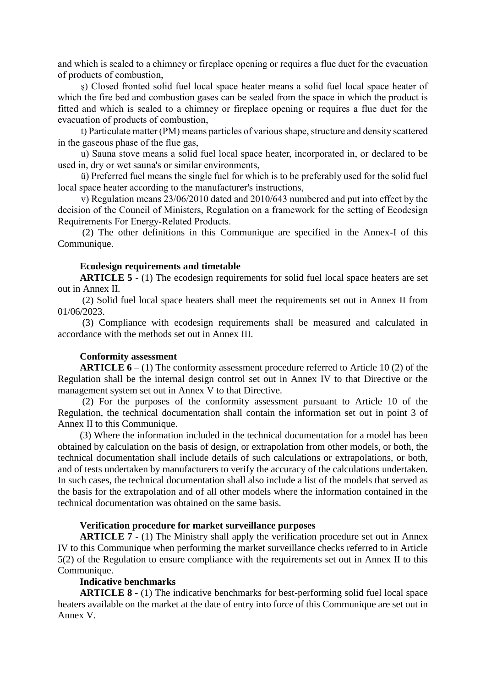and which is sealed to a chimney or fireplace opening or requires a flue duct for the evacuation of products of combustion,

s) Closed fronted solid fuel local space heater means a solid fuel local space heater of which the fire bed and combustion gases can be sealed from the space in which the product is fitted and which is sealed to a chimney or fireplace opening or requires a flue duct for the evacuation of products of combustion,

t) Particulate matter (PM) means particles of various shape, structure and density scattered in the gaseous phase of the flue gas,

u) Sauna stove means a solid fuel local space heater, incorporated in, or declared to be used in, dry or wet sauna's or similar environments,

ü) Preferred fuel means the single fuel for which is to be preferably used for the solid fuel local space heater according to the manufacturer's instructions,

v) Regulation means 23/06/2010 dated and 2010/643 numbered and put into effect by the decision of the Council of Ministers, Regulation on a framework for the setting of Ecodesign Requirements For Energy-Related Products.

(2) The other definitions in this Communique are specified in the Annex-I of this Communique.

### **Ecodesign requirements and timetable**

**ARTICLE 5** - (1) The ecodesign requirements for solid fuel local space heaters are set out in Annex II.

(2) Solid fuel local space heaters shall meet the requirements set out in Annex II from 01/06/2023.

(3) Compliance with ecodesign requirements shall be measured and calculated in accordance with the methods set out in Annex III.

#### **Conformity assessment**

**ARTICLE 6** – (1) The conformity assessment procedure referred to Article 10 (2) of the Regulation shall be the internal design control set out in Annex IV to that Directive or the management system set out in Annex V to that Directive.

(2) For the purposes of the conformity assessment pursuant to Article 10 of the Regulation, the technical documentation shall contain the information set out in point 3 of Annex II to this Communique.

(3) Where the information included in the technical documentation for a model has been obtained by calculation on the basis of design, or extrapolation from other models, or both, the technical documentation shall include details of such calculations or extrapolations, or both, and of tests undertaken by manufacturers to verify the accuracy of the calculations undertaken. In such cases, the technical documentation shall also include a list of the models that served as the basis for the extrapolation and of all other models where the information contained in the technical documentation was obtained on the same basis.

### **Verification procedure for market surveillance purposes**

**ARTICLE 7 -** (1) The Ministry shall apply the verification procedure set out in Annex IV to this Communique when performing the market surveillance checks referred to in Article 5(2) of the Regulation to ensure compliance with the requirements set out in Annex II to this Communique.

#### **Indicative benchmarks**

**ARTICLE 8 -** (1) The indicative benchmarks for best-performing solid fuel local space heaters available on the market at the date of entry into force of this Communique are set out in Annex V.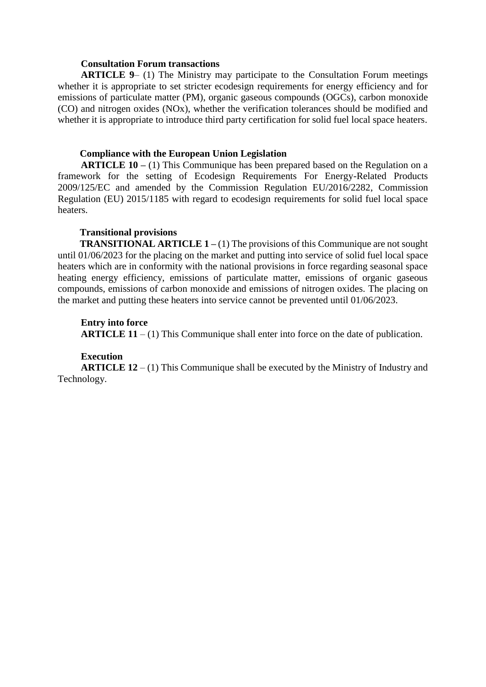#### **Consultation Forum transactions**

**ARTICLE 9**– (1) The Ministry may participate to the Consultation Forum meetings whether it is appropriate to set stricter ecodesign requirements for energy efficiency and for emissions of particulate matter (PM), organic gaseous compounds (OGCs), carbon monoxide (CO) and nitrogen oxides (NOx), whether the verification tolerances should be modified and whether it is appropriate to introduce third party certification for solid fuel local space heaters.

### **Compliance with the European Union Legislation**

**ARTICLE 10 –** (1) This Communique has been prepared based on the Regulation on a framework for the setting of Ecodesign Requirements For Energy-Related Products 2009/125/EC and amended by the Commission Regulation EU/2016/2282, Commission Regulation (EU) 2015/1185 with regard to ecodesign requirements for solid fuel local space heaters.

### **Transitional provisions**

**TRANSITIONAL ARTICLE 1 –** (1) The provisions of this Communique are not sought until 01/06/2023 for the placing on the market and putting into service of solid fuel local space heaters which are in conformity with the national provisions in force regarding seasonal space heating energy efficiency, emissions of particulate matter, emissions of organic gaseous compounds, emissions of carbon monoxide and emissions of nitrogen oxides. The placing on the market and putting these heaters into service cannot be prevented until 01/06/2023.

### **Entry into force**

**ARTICLE 11** – (1) This Communique shall enter into force on the date of publication.

### **Execution**

**ARTICLE 12** – (1) This Communique shall be executed by the Ministry of Industry and Technology.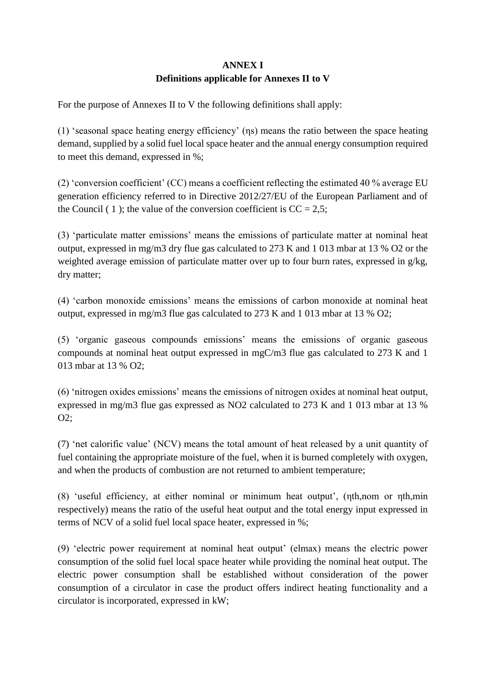# **ANNEX I Definitions applicable for Annexes II to V**

For the purpose of Annexes II to V the following definitions shall apply:

(1) 'seasonal space heating energy efficiency' (ηs) means the ratio between the space heating demand, supplied by a solid fuel local space heater and the annual energy consumption required to meet this demand, expressed in %;

(2) 'conversion coefficient' (CC) means a coefficient reflecting the estimated 40 % average EU generation efficiency referred to in Directive 2012/27/EU of the European Parliament and of the Council ( 1 ); the value of the conversion coefficient is  $CC = 2.5$ ;

(3) 'particulate matter emissions' means the emissions of particulate matter at nominal heat output, expressed in mg/m3 dry flue gas calculated to 273 K and 1 013 mbar at 13 % O2 or the weighted average emission of particulate matter over up to four burn rates, expressed in g/kg, dry matter;

(4) 'carbon monoxide emissions' means the emissions of carbon monoxide at nominal heat output, expressed in mg/m3 flue gas calculated to 273 K and 1 013 mbar at 13 % O2;

(5) 'organic gaseous compounds emissions' means the emissions of organic gaseous compounds at nominal heat output expressed in mgC/m3 flue gas calculated to 273 K and 1 013 mbar at 13 % O2;

(6) 'nitrogen oxides emissions' means the emissions of nitrogen oxides at nominal heat output, expressed in mg/m3 flue gas expressed as NO2 calculated to 273 K and 1 013 mbar at 13 % O2;

(7) 'net calorific value' (NCV) means the total amount of heat released by a unit quantity of fuel containing the appropriate moisture of the fuel, when it is burned completely with oxygen, and when the products of combustion are not returned to ambient temperature;

(8) 'useful efficiency, at either nominal or minimum heat output', (ηth,nom or ηth,min respectively) means the ratio of the useful heat output and the total energy input expressed in terms of NCV of a solid fuel local space heater, expressed in %;

(9) 'electric power requirement at nominal heat output' (elmax) means the electric power consumption of the solid fuel local space heater while providing the nominal heat output. The electric power consumption shall be established without consideration of the power consumption of a circulator in case the product offers indirect heating functionality and a circulator is incorporated, expressed in kW;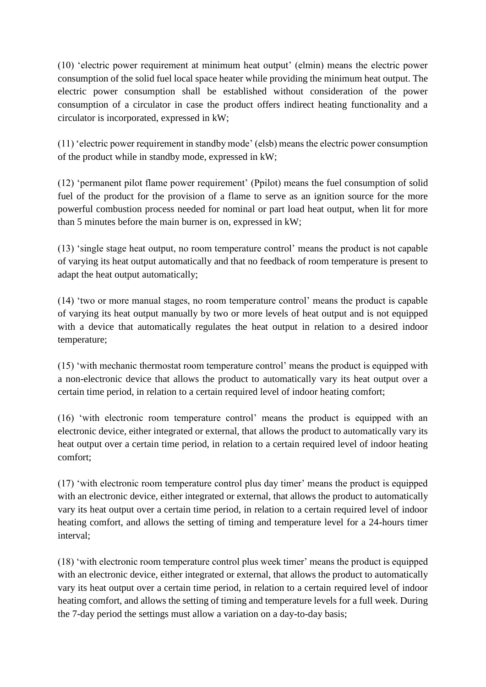(10) 'electric power requirement at minimum heat output' (elmin) means the electric power consumption of the solid fuel local space heater while providing the minimum heat output. The electric power consumption shall be established without consideration of the power consumption of a circulator in case the product offers indirect heating functionality and a circulator is incorporated, expressed in kW;

(11) 'electric power requirement in standby mode' (elsb) means the electric power consumption of the product while in standby mode, expressed in kW;

(12) 'permanent pilot flame power requirement' (Ppilot) means the fuel consumption of solid fuel of the product for the provision of a flame to serve as an ignition source for the more powerful combustion process needed for nominal or part load heat output, when lit for more than 5 minutes before the main burner is on, expressed in kW;

(13) 'single stage heat output, no room temperature control' means the product is not capable of varying its heat output automatically and that no feedback of room temperature is present to adapt the heat output automatically;

(14) 'two or more manual stages, no room temperature control' means the product is capable of varying its heat output manually by two or more levels of heat output and is not equipped with a device that automatically regulates the heat output in relation to a desired indoor temperature;

(15) 'with mechanic thermostat room temperature control' means the product is equipped with a non-electronic device that allows the product to automatically vary its heat output over a certain time period, in relation to a certain required level of indoor heating comfort;

(16) 'with electronic room temperature control' means the product is equipped with an electronic device, either integrated or external, that allows the product to automatically vary its heat output over a certain time period, in relation to a certain required level of indoor heating comfort;

(17) 'with electronic room temperature control plus day timer' means the product is equipped with an electronic device, either integrated or external, that allows the product to automatically vary its heat output over a certain time period, in relation to a certain required level of indoor heating comfort, and allows the setting of timing and temperature level for a 24-hours timer interval;

(18) 'with electronic room temperature control plus week timer' means the product is equipped with an electronic device, either integrated or external, that allows the product to automatically vary its heat output over a certain time period, in relation to a certain required level of indoor heating comfort, and allows the setting of timing and temperature levels for a full week. During the 7-day period the settings must allow a variation on a day-to-day basis;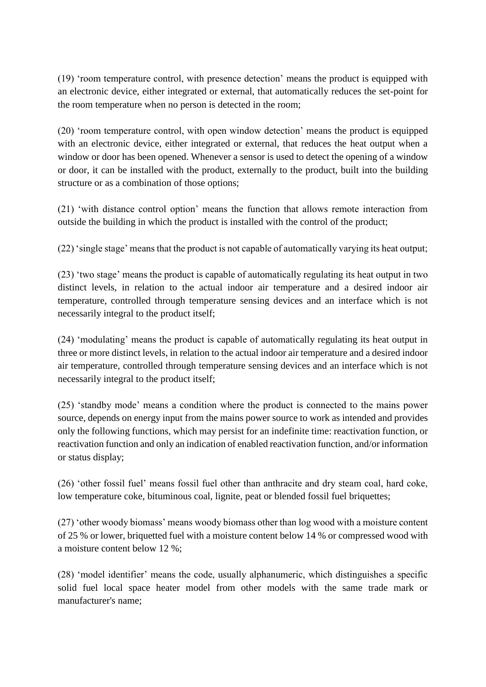(19) 'room temperature control, with presence detection' means the product is equipped with an electronic device, either integrated or external, that automatically reduces the set-point for the room temperature when no person is detected in the room;

(20) 'room temperature control, with open window detection' means the product is equipped with an electronic device, either integrated or external, that reduces the heat output when a window or door has been opened. Whenever a sensor is used to detect the opening of a window or door, it can be installed with the product, externally to the product, built into the building structure or as a combination of those options;

(21) 'with distance control option' means the function that allows remote interaction from outside the building in which the product is installed with the control of the product;

(22) 'single stage' means that the product is not capable of automatically varying its heat output;

(23) 'two stage' means the product is capable of automatically regulating its heat output in two distinct levels, in relation to the actual indoor air temperature and a desired indoor air temperature, controlled through temperature sensing devices and an interface which is not necessarily integral to the product itself;

(24) 'modulating' means the product is capable of automatically regulating its heat output in three or more distinct levels, in relation to the actual indoor air temperature and a desired indoor air temperature, controlled through temperature sensing devices and an interface which is not necessarily integral to the product itself;

(25) 'standby mode' means a condition where the product is connected to the mains power source, depends on energy input from the mains power source to work as intended and provides only the following functions, which may persist for an indefinite time: reactivation function, or reactivation function and only an indication of enabled reactivation function, and/or information or status display;

(26) 'other fossil fuel' means fossil fuel other than anthracite and dry steam coal, hard coke, low temperature coke, bituminous coal, lignite, peat or blended fossil fuel briquettes;

(27) 'other woody biomass' means woody biomass other than log wood with a moisture content of 25 % or lower, briquetted fuel with a moisture content below 14 % or compressed wood with a moisture content below 12 %;

(28) 'model identifier' means the code, usually alphanumeric, which distinguishes a specific solid fuel local space heater model from other models with the same trade mark or manufacturer's name;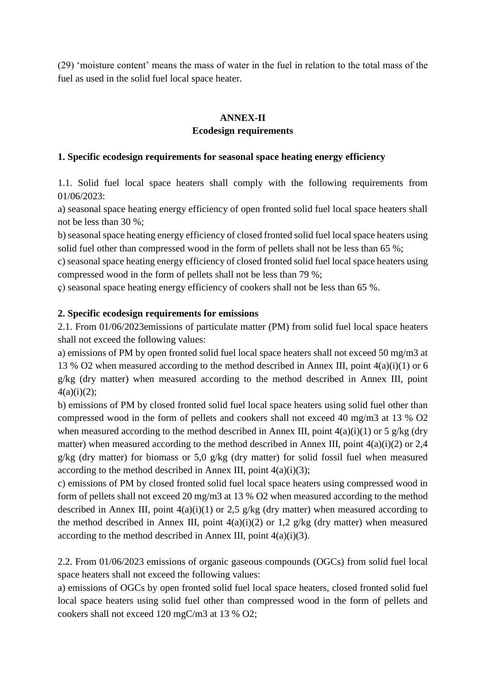(29) 'moisture content' means the mass of water in the fuel in relation to the total mass of the fuel as used in the solid fuel local space heater.

# **ANNEX-II**

# **Ecodesign requirements**

### **1. Specific ecodesign requirements for seasonal space heating energy efficiency**

1.1. Solid fuel local space heaters shall comply with the following requirements from 01/06/2023:

a) seasonal space heating energy efficiency of open fronted solid fuel local space heaters shall not be less than 30 %;

b) seasonal space heating energy efficiency of closed fronted solid fuel local space heaters using solid fuel other than compressed wood in the form of pellets shall not be less than 65 %;

c) seasonal space heating energy efficiency of closed fronted solid fuel local space heaters using compressed wood in the form of pellets shall not be less than 79 %;

ç) seasonal space heating energy efficiency of cookers shall not be less than 65 %.

### **2. Specific ecodesign requirements for emissions**

2.1. From 01/06/2023emissions of particulate matter (PM) from solid fuel local space heaters shall not exceed the following values:

a) emissions of PM by open fronted solid fuel local space heaters shall not exceed 50 mg/m3 at 13 % O2 when measured according to the method described in Annex III, point 4(a)(i)(1) or 6 g/kg (dry matter) when measured according to the method described in Annex III, point  $4(a)(i)(2);$ 

b) emissions of PM by closed fronted solid fuel local space heaters using solid fuel other than compressed wood in the form of pellets and cookers shall not exceed 40 mg/m3 at 13 % O2 when measured according to the method described in Annex III, point  $4(a)(i)(1)$  or 5 g/kg (dry matter) when measured according to the method described in Annex III, point  $4(a)(i)(2)$  or 2,4 g/kg (dry matter) for biomass or 5,0 g/kg (dry matter) for solid fossil fuel when measured according to the method described in Annex III, point  $4(a)(i)(3)$ ;

c) emissions of PM by closed fronted solid fuel local space heaters using compressed wood in form of pellets shall not exceed 20 mg/m3 at 13 % O2 when measured according to the method described in Annex III, point  $4(a)(i)(1)$  or 2,5 g/kg (dry matter) when measured according to the method described in Annex III, point  $4(a)(i)(2)$  or 1,2 g/kg (dry matter) when measured according to the method described in Annex III, point  $4(a)(i)(3)$ .

2.2. From 01/06/2023 emissions of organic gaseous compounds (OGCs) from solid fuel local space heaters shall not exceed the following values:

a) emissions of OGCs by open fronted solid fuel local space heaters, closed fronted solid fuel local space heaters using solid fuel other than compressed wood in the form of pellets and cookers shall not exceed 120 mgC/m3 at 13 % O2;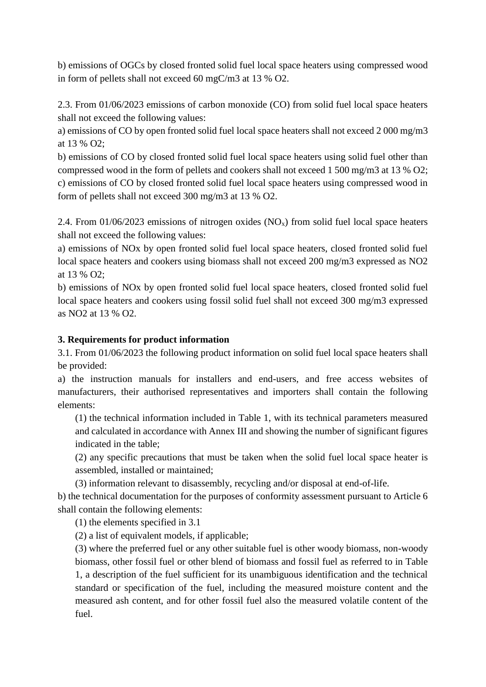b) emissions of OGCs by closed fronted solid fuel local space heaters using compressed wood in form of pellets shall not exceed 60 mgC/m3 at 13 % O2.

2.3. From 01/06/2023 emissions of carbon monoxide (CO) from solid fuel local space heaters shall not exceed the following values:

a) emissions of CO by open fronted solid fuel local space heaters shall not exceed 2 000 mg/m3 at 13 % O2;

b) emissions of CO by closed fronted solid fuel local space heaters using solid fuel other than compressed wood in the form of pellets and cookers shall not exceed 1 500 mg/m3 at 13 % O2; c) emissions of CO by closed fronted solid fuel local space heaters using compressed wood in form of pellets shall not exceed 300 mg/m3 at 13 % O2.

2.4. From 01/06/2023 emissions of nitrogen oxides  $(NO<sub>x</sub>)$  from solid fuel local space heaters shall not exceed the following values:

a) emissions of NOx by open fronted solid fuel local space heaters, closed fronted solid fuel local space heaters and cookers using biomass shall not exceed 200 mg/m3 expressed as NO2 at 13 % O2;

b) emissions of NOx by open fronted solid fuel local space heaters, closed fronted solid fuel local space heaters and cookers using fossil solid fuel shall not exceed 300 mg/m3 expressed as NO2 at 13 % O2.

# **3. Requirements for product information**

3.1. From 01/06/2023 the following product information on solid fuel local space heaters shall be provided:

a) the instruction manuals for installers and end-users, and free access websites of manufacturers, their authorised representatives and importers shall contain the following elements:

(1) the technical information included in Table 1, with its technical parameters measured and calculated in accordance with Annex III and showing the number of significant figures indicated in the table;

(2) any specific precautions that must be taken when the solid fuel local space heater is assembled, installed or maintained;

(3) information relevant to disassembly, recycling and/or disposal at end-of-life.

b) the technical documentation for the purposes of conformity assessment pursuant to Article 6 shall contain the following elements:

(1) the elements specified in 3.1

(2) a list of equivalent models, if applicable;

(3) where the preferred fuel or any other suitable fuel is other woody biomass, non-woody biomass, other fossil fuel or other blend of biomass and fossil fuel as referred to in Table 1, a description of the fuel sufficient for its unambiguous identification and the technical standard or specification of the fuel, including the measured moisture content and the measured ash content, and for other fossil fuel also the measured volatile content of the fuel.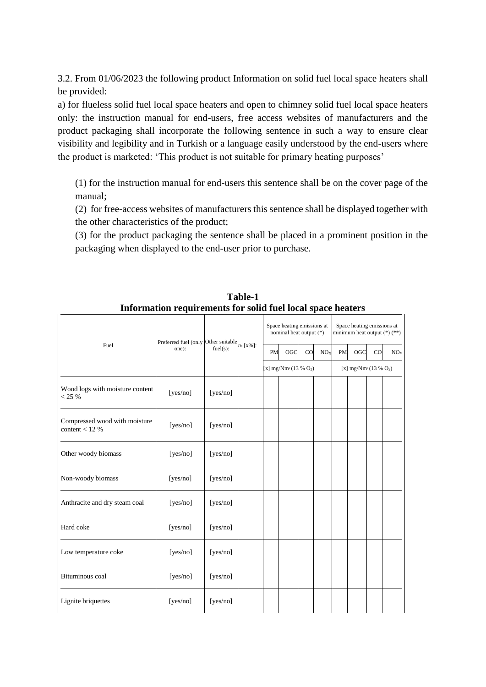3.2. From 01/06/2023 the following product Information on solid fuel local space heaters shall be provided:

a) for flueless solid fuel local space heaters and open to chimney solid fuel local space heaters only: the instruction manual for end-users, free access websites of manufacturers and the product packaging shall incorporate the following sentence in such a way to ensure clear visibility and legibility and in Turkish or a language easily understood by the end-users where the product is marketed: 'This product is not suitable for primary heating purposes'

(1) for the instruction manual for end-users this sentence shall be on the cover page of the manual;

(2) for free-access websites of manufacturers this sentence shall be displayed together with the other characteristics of the product;

(3) for the product packaging the sentence shall be placed in a prominent position in the packaging when displayed to the end-user prior to purchase.

|                                                  | mormanon requirements for some ruer focur space neaters |          |                  |                                                       |     |    |                         |                                                                |     |    |     |
|--------------------------------------------------|---------------------------------------------------------|----------|------------------|-------------------------------------------------------|-----|----|-------------------------|----------------------------------------------------------------|-----|----|-----|
|                                                  | Preferred fuel (only Other suitable<br>one):            |          |                  | Space heating emissions at<br>nominal heat output (*) |     |    |                         | Space heating emissions at<br>minimum heat output $(*)$ $(**)$ |     |    |     |
| Fuel                                             |                                                         | fuel(s): | $n_s$ [ $x\%$ ]: | PM                                                    | OGC | CO | NO <sub>X</sub>         | PM                                                             | OGC | CO | NOx |
|                                                  |                                                         |          |                  | [x] $mg/Nm^3 (13 % O2)$                               |     |    | [x] $mg/Nm^3(13 % O_2)$ |                                                                |     |    |     |
| Wood logs with moisture content<br>< 25 %        | [yes/no]                                                | [yes/no] |                  |                                                       |     |    |                         |                                                                |     |    |     |
| Compressed wood with moisture<br>content < $12%$ | [yes/no]                                                | [yes/no] |                  |                                                       |     |    |                         |                                                                |     |    |     |
| Other woody biomass                              | [yes/no]                                                | [yes/no] |                  |                                                       |     |    |                         |                                                                |     |    |     |
| Non-woody biomass                                | [yes/no]                                                | [yes/no] |                  |                                                       |     |    |                         |                                                                |     |    |     |
| Anthracite and dry steam coal                    | [yes/no]                                                | [yes/no] |                  |                                                       |     |    |                         |                                                                |     |    |     |
| Hard coke                                        | [yes/no]                                                | [yes/no] |                  |                                                       |     |    |                         |                                                                |     |    |     |
| Low temperature coke                             | [yes/no]                                                | [yes/no] |                  |                                                       |     |    |                         |                                                                |     |    |     |
| Bituminous coal                                  | [yes/no]                                                | [yes/no] |                  |                                                       |     |    |                         |                                                                |     |    |     |
| Lignite briquettes                               | [yes/no]                                                | [yes/no] |                  |                                                       |     |    |                         |                                                                |     |    |     |

**Table-1 Information requirements for solid fuel local space heaters**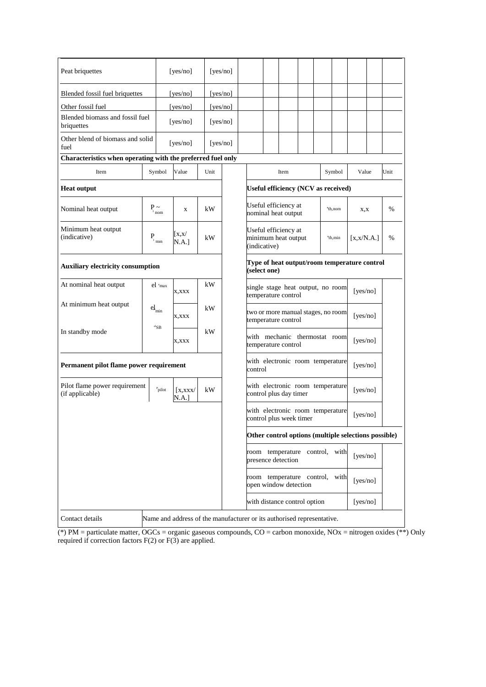| Peat briquettes                                                                           |                            | [yes/no]                |                                                |          | [yes/no]                                                     |                                                                         |                                                                        |                                                      |  |                     |          |             |   |      |
|-------------------------------------------------------------------------------------------|----------------------------|-------------------------|------------------------------------------------|----------|--------------------------------------------------------------|-------------------------------------------------------------------------|------------------------------------------------------------------------|------------------------------------------------------|--|---------------------|----------|-------------|---|------|
| Blended fossil fuel briquettes                                                            | [yes/no]                   |                         |                                                | [yes/no] |                                                              |                                                                         |                                                                        |                                                      |  |                     |          |             |   |      |
| Other fossil fuel                                                                         |                            | [yes/no]                |                                                |          | [ves/no]                                                     |                                                                         |                                                                        |                                                      |  |                     |          |             |   |      |
| Blended biomass and fossil fuel<br>briquettes                                             |                            | [yes/no]                |                                                |          | [yes/no]                                                     |                                                                         |                                                                        |                                                      |  |                     |          |             |   |      |
| Other blend of biomass and solid<br>fuel                                                  |                            | [yes/no]                |                                                |          | [yes/no]                                                     |                                                                         |                                                                        |                                                      |  |                     |          |             |   |      |
| Characteristics when operating with the preferred fuel only                               |                            |                         |                                                |          |                                                              |                                                                         |                                                                        |                                                      |  |                     |          |             |   |      |
| Item                                                                                      |                            | Symbol<br>Value<br>Unit |                                                |          |                                                              |                                                                         | Symbol<br>Item                                                         |                                                      |  |                     |          | Value       |   | Unit |
| <b>Heat output</b>                                                                        |                            |                         |                                                |          | Useful efficiency (NCV as received)                          |                                                                         |                                                                        |                                                      |  |                     |          |             |   |      |
| Nominal heat output                                                                       |                            | $P_{\text{nom}}$        | $\mathbf X$                                    | kW       |                                                              |                                                                         | Useful efficiency at<br>nominal heat output                            |                                                      |  | $n_{\text{th,nom}}$ | X, X     |             | % |      |
| Minimum heat output<br>(indicative)                                                       | P                          | $1$ min                 | $\left[ \mathrm{x},\mathrm{x}\right]$<br>N.A.] | kW       |                                                              |                                                                         | Useful efficiency at<br>minimum heat output<br>"th,min<br>(indicative) |                                                      |  |                     |          | [x, x/N.A.] |   | %    |
| <b>Auxiliary electricity consumption</b>                                                  |                            |                         |                                                |          | Type of heat output/room temperature control<br>(select one) |                                                                         |                                                                        |                                                      |  |                     |          |             |   |      |
| At nominal heat output                                                                    |                            | $el$ $e$ max            | X.XXX                                          | kW       |                                                              | single stage heat output, no room<br>temperature control                |                                                                        |                                                      |  |                     | [yes/no] |             |   |      |
| At minimum heat output                                                                    | $\operatorname{el}_{\min}$ |                         | X,XXX                                          | kW       |                                                              | two or more manual stages, no room<br>temperature control               |                                                                        |                                                      |  | [yes/no]            |          |             |   |      |
| In standby mode                                                                           |                            | $e^{i}SB$               | X, XXX                                         | kW       |                                                              | with mechanic thermostat room<br>[yes/no]<br>temperature control        |                                                                        |                                                      |  |                     |          |             |   |      |
| Permanent pilot flame power requirement                                                   |                            |                         |                                                |          |                                                              | with electronic room temperature<br>control                             |                                                                        |                                                      |  |                     | [yes/no] |             |   |      |
| Pilot flame power requirement<br>(if applicable)                                          |                            | Ppilot                  | $\left[$ X, XXX $\right]$<br>N.A.]             | kW       |                                                              | with electronic room temperature<br>[yes/no]<br>control plus day timer  |                                                                        |                                                      |  |                     |          |             |   |      |
|                                                                                           |                            |                         |                                                |          |                                                              | with electronic room temperature<br>[yes/no]<br>control plus week timer |                                                                        |                                                      |  |                     |          |             |   |      |
|                                                                                           |                            |                         |                                                |          |                                                              | Other control options (multiple selections possible)                    |                                                                        |                                                      |  |                     |          |             |   |      |
|                                                                                           |                            |                         |                                                |          |                                                              |                                                                         |                                                                        | room temperature control, with<br>presence detection |  |                     |          | [yes/no]    |   |      |
|                                                                                           |                            |                         |                                                |          |                                                              |                                                                         | room temperature control, with<br>open window detection                |                                                      |  |                     |          | [yes/no]    |   |      |
|                                                                                           |                            |                         |                                                |          |                                                              | with distance control option<br>[yes/no]                                |                                                                        |                                                      |  |                     |          |             |   |      |
| Name and address of the manufacturer or its authorised representative.<br>Contact details |                            |                         |                                                |          |                                                              |                                                                         |                                                                        |                                                      |  |                     |          |             |   |      |

(\*) PM = particulate matter, OGCs = organic gaseous compounds, CO = carbon monoxide, NOx = nitrogen oxides (\*\*) Only required if correction factors F(2) or F(3) are applied.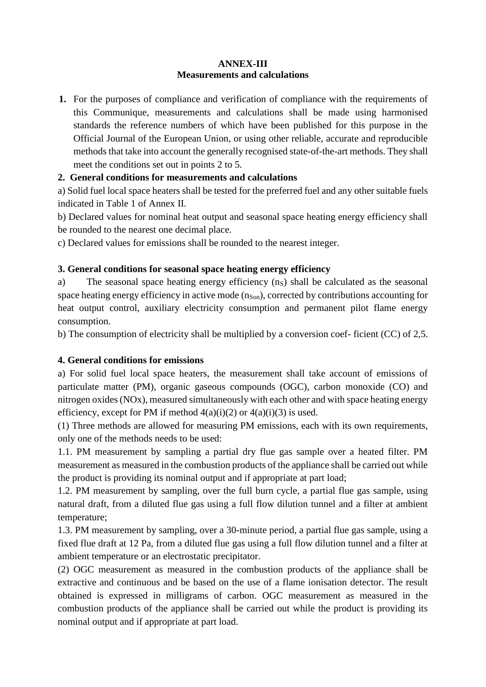### **ANNEX-III Measurements and calculations**

**1.** For the purposes of compliance and verification of compliance with the requirements of this Communique, measurements and calculations shall be made using harmonised standards the reference numbers of which have been published for this purpose in the Official Journal of the European Union, or using other reliable, accurate and reproducible methods that take into account the generally recognised state-of-the-art methods. They shall meet the conditions set out in points 2 to 5.

# **2. General conditions for measurements and calculations**

a) Solid fuel local space heaters shall be tested for the preferred fuel and any other suitable fuels indicated in Table 1 of Annex II.

b) Declared values for nominal heat output and seasonal space heating energy efficiency shall be rounded to the nearest one decimal place.

c) Declared values for emissions shall be rounded to the nearest integer.

# **3. General conditions for seasonal space heating energy efficiency**

a) The seasonal space heating energy efficiency (ns) shall be calculated as the seasonal space heating energy efficiency in active mode  $(n<sub>Son</sub>)$ , corrected by contributions accounting for heat output control, auxiliary electricity consumption and permanent pilot flame energy consumption.

b) The consumption of electricity shall be multiplied by a conversion coef- ficient (CC) of 2,5.

# **4. General conditions for emissions**

a) For solid fuel local space heaters, the measurement shall take account of emissions of particulate matter (PM), organic gaseous compounds (OGC), carbon monoxide (CO) and nitrogen oxides (NOx), measured simultaneously with each other and with space heating energy efficiency, except for PM if method  $4(a)(i)(2)$  or  $4(a)(i)(3)$  is used.

(1) Three methods are allowed for measuring PM emissions, each with its own requirements, only one of the methods needs to be used:

1.1. PM measurement by sampling a partial dry flue gas sample over a heated filter. PM measurement as measured in the combustion products of the appliance shall be carried out while the product is providing its nominal output and if appropriate at part load;

1.2. PM measurement by sampling, over the full burn cycle, a partial flue gas sample, using natural draft, from a diluted flue gas using a full flow dilution tunnel and a filter at ambient temperature;

1.3. PM measurement by sampling, over a 30-minute period, a partial flue gas sample, using a fixed flue draft at 12 Pa, from a diluted flue gas using a full flow dilution tunnel and a filter at ambient temperature or an electrostatic precipitator.

(2) OGC measurement as measured in the combustion products of the appliance shall be extractive and continuous and be based on the use of a flame ionisation detector. The result obtained is expressed in milligrams of carbon. OGC measurement as measured in the combustion products of the appliance shall be carried out while the product is providing its nominal output and if appropriate at part load.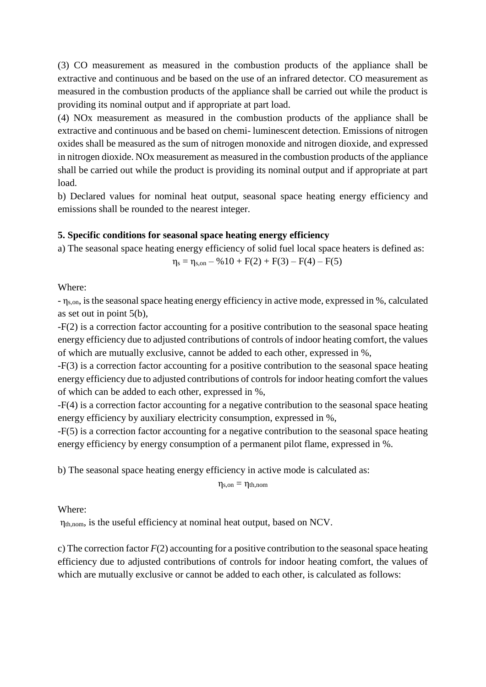(3) CO measurement as measured in the combustion products of the appliance shall be extractive and continuous and be based on the use of an infrared detector. CO measurement as measured in the combustion products of the appliance shall be carried out while the product is providing its nominal output and if appropriate at part load.

(4) NOx measurement as measured in the combustion products of the appliance shall be extractive and continuous and be based on chemi- luminescent detection. Emissions of nitrogen oxides shall be measured as the sum of nitrogen monoxide and nitrogen dioxide, and expressed in nitrogen dioxide. NOx measurement as measured in the combustion products of the appliance shall be carried out while the product is providing its nominal output and if appropriate at part load.

b) Declared values for nominal heat output, seasonal space heating energy efficiency and emissions shall be rounded to the nearest integer.

### **5. Specific conditions for seasonal space heating energy efficiency**

a) The seasonal space heating energy efficiency of solid fuel local space heaters is defined as:

 $\eta_s = \eta_{s, on} - \frac{9610 + F(2) + F(3) - F(4) - F(5)}{h}$ 

### Where:

- ηs,on, is the seasonal space heating energy efficiency in active mode, expressed in %, calculated as set out in point 5(b),

-F(2) is a correction factor accounting for a positive contribution to the seasonal space heating energy efficiency due to adjusted contributions of controls of indoor heating comfort, the values of which are mutually exclusive, cannot be added to each other, expressed in %,

-F(3) is a correction factor accounting for a positive contribution to the seasonal space heating energy efficiency due to adjusted contributions of controls for indoor heating comfort the values of which can be added to each other, expressed in %,

-F(4) is a correction factor accounting for a negative contribution to the seasonal space heating energy efficiency by auxiliary electricity consumption, expressed in %,

-F(5) is a correction factor accounting for a negative contribution to the seasonal space heating energy efficiency by energy consumption of a permanent pilot flame, expressed in %.

b) The seasonal space heating energy efficiency in active mode is calculated as:

 $\eta_{s, \text{on}} = \eta_{th, \text{nom}}$ 

### Where:

ηth,nom, is the useful efficiency at nominal heat output, based on NCV.

c) The correction factor *F*(2) accounting for a positive contribution to the seasonal space heating efficiency due to adjusted contributions of controls for indoor heating comfort, the values of which are mutually exclusive or cannot be added to each other, is calculated as follows: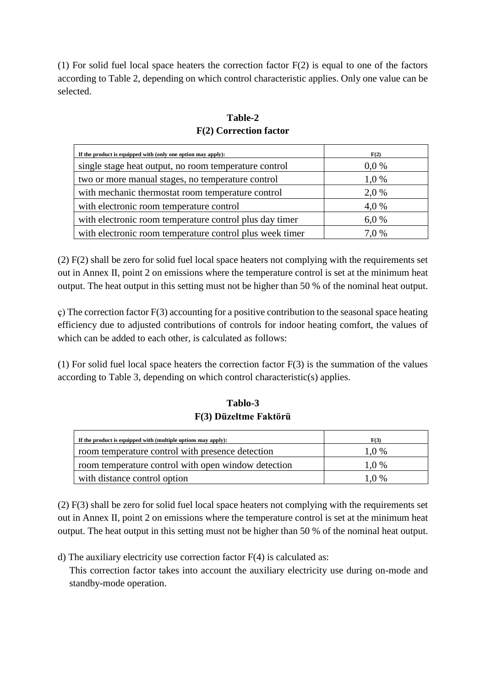(1) For solid fuel local space heaters the correction factor  $F(2)$  is equal to one of the factors according to Table 2, depending on which control characteristic applies. Only one value can be selected.

# **Table-2 F(2) Correction factor**

| If the product is equipped with (only one option may apply): | F(2)    |
|--------------------------------------------------------------|---------|
| single stage heat output, no room temperature control        | $0.0\%$ |
| two or more manual stages, no temperature control            | 1,0 %   |
| with mechanic thermostat room temperature control            | 2,0 %   |
| with electronic room temperature control                     | 4,0 %   |
| with electronic room temperature control plus day timer      | 6.0%    |
| with electronic room temperature control plus week timer     | 7.0%    |

(2) F(2) shall be zero for solid fuel local space heaters not complying with the requirements set out in Annex II, point 2 on emissions where the temperature control is set at the minimum heat output. The heat output in this setting must not be higher than 50 % of the nominal heat output.

ç) The correction factor F(3) accounting for a positive contribution to the seasonal space heating efficiency due to adjusted contributions of controls for indoor heating comfort, the values of which can be added to each other, is calculated as follows:

(1) For solid fuel local space heaters the correction factor F(3) is the summation of the values according to Table 3, depending on which control characteristic(s) applies.

# **Tablo-3 F(3) Düzeltme Faktörü**

| If the product is equipped with (multiple options may apply): | F(3)    |
|---------------------------------------------------------------|---------|
| room temperature control with presence detection              | $1.0\%$ |
| room temperature control with open window detection           | $1.0\%$ |
| with distance control option                                  | $1.0\%$ |

(2) F(3) shall be zero for solid fuel local space heaters not complying with the requirements set out in Annex II, point 2 on emissions where the temperature control is set at the minimum heat output. The heat output in this setting must not be higher than 50 % of the nominal heat output.

d) The auxiliary electricity use correction factor  $F(4)$  is calculated as:

This correction factor takes into account the auxiliary electricity use during on-mode and standby-mode operation.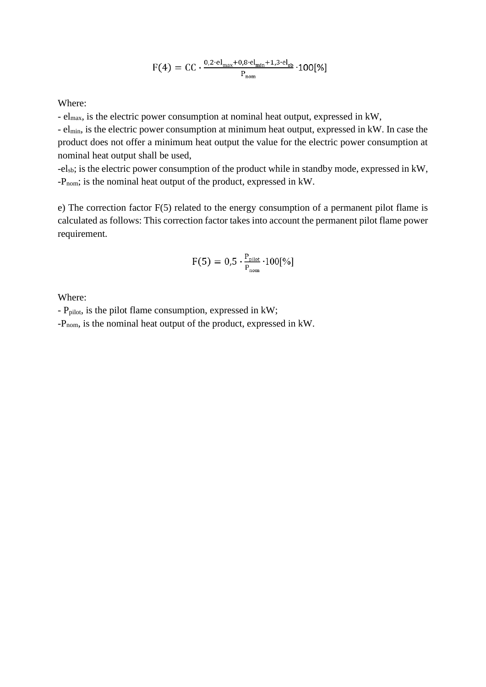$$
F(4) = CC \cdot \frac{0.2 \cdot el_{max} + 0.8 \cdot el_{min} + 1.3 \cdot el_{sb}}{P_{nom}} \cdot 100[\%]
$$

Where:

- elmax, is the electric power consumption at nominal heat output, expressed in kW,

- elmin, is the electric power consumption at minimum heat output, expressed in kW. In case the product does not offer a minimum heat output the value for the electric power consumption at nominal heat output shall be used,

-elsb; is the electric power consumption of the product while in standby mode, expressed in kW, -Pnom; is the nominal heat output of the product, expressed in kW.

e) The correction factor F(5) related to the energy consumption of a permanent pilot flame is calculated as follows: This correction factor takes into account the permanent pilot flame power requirement.

$$
F(5) = 0.5 \cdot \frac{P_{\text{pilot}}}{P_{\text{nom}}} \cdot 100[\%]
$$

Where:

- Ppilot, is the pilot flame consumption, expressed in kW;

-Pnom, is the nominal heat output of the product, expressed in kW.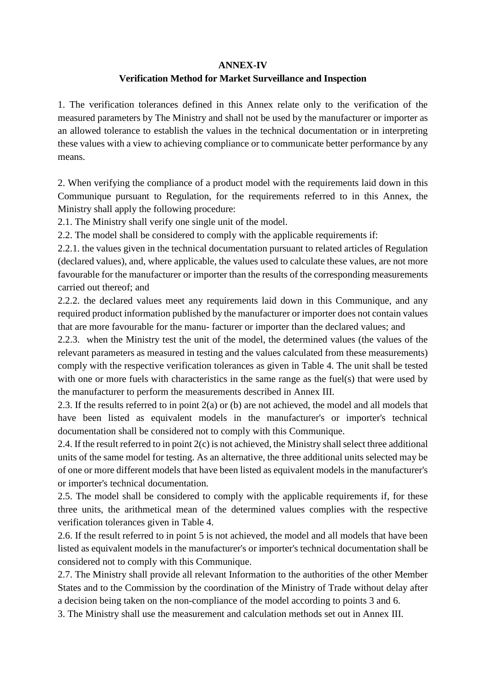### **ANNEX-IV**

# **Verification Method for Market Surveillance and Inspection**

1. The verification tolerances defined in this Annex relate only to the verification of the measured parameters by The Ministry and shall not be used by the manufacturer or importer as an allowed tolerance to establish the values in the technical documentation or in interpreting these values with a view to achieving compliance or to communicate better performance by any means.

2. When verifying the compliance of a product model with the requirements laid down in this Communique pursuant to Regulation, for the requirements referred to in this Annex, the Ministry shall apply the following procedure:

2.1. The Ministry shall verify one single unit of the model.

2.2. The model shall be considered to comply with the applicable requirements if:

2.2.1. the values given in the technical documentation pursuant to related articles of Regulation (declared values), and, where applicable, the values used to calculate these values, are not more favourable for the manufacturer or importer than the results of the corresponding measurements carried out thereof; and

2.2.2. the declared values meet any requirements laid down in this Communique, and any required product information published by the manufacturer or importer does not contain values that are more favourable for the manu- facturer or importer than the declared values; and

2.2.3. when the Ministry test the unit of the model, the determined values (the values of the relevant parameters as measured in testing and the values calculated from these measurements) comply with the respective verification tolerances as given in Table 4. The unit shall be tested with one or more fuels with characteristics in the same range as the fuel(s) that were used by the manufacturer to perform the measurements described in Annex III.

2.3. If the results referred to in point 2(a) or (b) are not achieved, the model and all models that have been listed as equivalent models in the manufacturer's or importer's technical documentation shall be considered not to comply with this Communique.

2.4. If the result referred to in point 2(c) is not achieved, the Ministry shall select three additional units of the same model for testing. As an alternative, the three additional units selected may be of one or more different models that have been listed as equivalent models in the manufacturer's or importer's technical documentation.

2.5. The model shall be considered to comply with the applicable requirements if, for these three units, the arithmetical mean of the determined values complies with the respective verification tolerances given in Table 4.

2.6. If the result referred to in point 5 is not achieved, the model and all models that have been listed as equivalent models in the manufacturer's or importer's technical documentation shall be considered not to comply with this Communique.

2.7. The Ministry shall provide all relevant Information to the authorities of the other Member States and to the Commission by the coordination of the Ministry of Trade without delay after a decision being taken on the non-compliance of the model according to points 3 and 6.

3. The Ministry shall use the measurement and calculation methods set out in Annex III.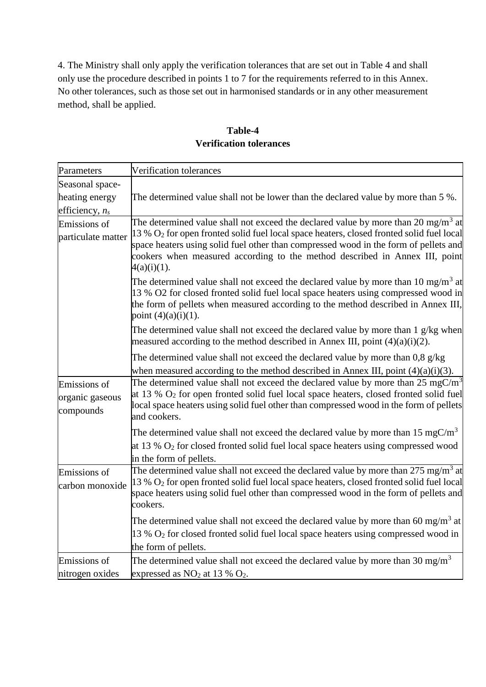4. The Ministry shall only apply the verification tolerances that are set out in Table 4 and shall only use the procedure described in points 1 to 7 for the requirements referred to in this Annex. No other tolerances, such as those set out in harmonised standards or in any other measurement method, shall be applied.

| Parameters                                   | Verification tolerances                                                                                                                                                                                                                                                                                                                                                                        |
|----------------------------------------------|------------------------------------------------------------------------------------------------------------------------------------------------------------------------------------------------------------------------------------------------------------------------------------------------------------------------------------------------------------------------------------------------|
| Seasonal space-                              |                                                                                                                                                                                                                                                                                                                                                                                                |
| heating energy                               | The determined value shall not be lower than the declared value by more than 5 %.                                                                                                                                                                                                                                                                                                              |
| efficiency, $n_s$                            |                                                                                                                                                                                                                                                                                                                                                                                                |
| Emissions of<br>particulate matter           | The determined value shall not exceed the declared value by more than 20 mg/m <sup>3</sup> at<br>13 % O <sub>2</sub> for open fronted solid fuel local space heaters, closed fronted solid fuel local<br>space heaters using solid fuel other than compressed wood in the form of pellets and<br>cookers when measured according to the method described in Annex III, point<br>$4(a)(i)(1)$ . |
|                                              | The determined value shall not exceed the declared value by more than 10 mg/m <sup>3</sup> at<br>13 % O2 for closed fronted solid fuel local space heaters using compressed wood in<br>the form of pellets when measured according to the method described in Annex III,<br>point $(4)(a)(i)(1)$ .                                                                                             |
|                                              | The determined value shall not exceed the declared value by more than 1 g/kg when<br>measured according to the method described in Annex III, point $(4)(a)(i)(2)$ .                                                                                                                                                                                                                           |
|                                              | The determined value shall not exceed the declared value by more than $0.8 \text{ g/kg}$<br>when measured according to the method described in Annex III, point $(4)(a)(i)(3)$ .                                                                                                                                                                                                               |
| Emissions of<br>organic gaseous<br>compounds | The determined value shall not exceed the declared value by more than $25 \text{ mgC/m}^3$<br>at 13 % $O_2$ for open fronted solid fuel local space heaters, closed fronted solid fuel<br>local space heaters using solid fuel other than compressed wood in the form of pellets<br>and cookers.                                                                                               |
|                                              | The determined value shall not exceed the declared value by more than 15 mgC/m <sup>3</sup><br>at 13 % $O_2$ for closed fronted solid fuel local space heaters using compressed wood<br>in the form of pellets.                                                                                                                                                                                |
| Emissions of<br>carbon monoxide              | The determined value shall not exceed the declared value by more than 275 mg/m <sup>3</sup> at<br>13 % O <sub>2</sub> for open fronted solid fuel local space heaters, closed fronted solid fuel local<br>space heaters using solid fuel other than compressed wood in the form of pellets and<br>cookers.                                                                                     |
|                                              | The determined value shall not exceed the declared value by more than 60 mg/m <sup>3</sup> at<br>13 % O <sub>2</sub> for closed fronted solid fuel local space heaters using compressed wood in<br>the form of pellets.                                                                                                                                                                        |
| Emissions of                                 | The determined value shall not exceed the declared value by more than 30 mg/m <sup>3</sup>                                                                                                                                                                                                                                                                                                     |
| nitrogen oxides                              | expressed as $NO2$ at 13 % $O2$ .                                                                                                                                                                                                                                                                                                                                                              |

# **Table-4 Verification tolerances**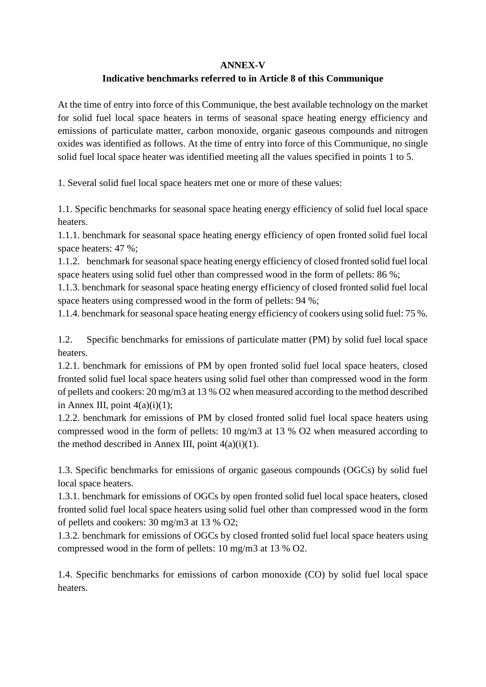### **ANNEX-V**

# **Indicative benchmarks referred to in Article 8 of this Communique**

At the time of entry into force of this Communique, the best available technology on the market for solid fuel local space heaters in terms of seasonal space heating energy efficiency and emissions of particulate matter, carbon monoxide, organic gaseous compounds and nitrogen oxides was identified as follows. At the time of entry into force of this Communique, no single solid fuel local space heater was identified meeting all the values specified in points 1 to 5.

1. Several solid fuel local space heaters met one or more of these values:

1.1. Specific benchmarks for seasonal space heating energy efficiency of solid fuel local space heaters.

1.1.1. benchmark for seasonal space heating energy efficiency of open fronted solid fuel local space heaters: 47 %;

1.1.2. benchmark for seasonal space heating energy efficiency of closed fronted solid fuel local space heaters using solid fuel other than compressed wood in the form of pellets: 86 %;

1.1.3. benchmark for seasonal space heating energy efficiency of closed fronted solid fuel local space heaters using compressed wood in the form of pellets: 94 %;

1.1.4. benchmark for seasonal space heating energy efficiency of cookers using solid fuel: 75 %.

1.2. Specific benchmarks for emissions of particulate matter (PM) by solid fuel local space heaters.

1.2.1. benchmark for emissions of PM by open fronted solid fuel local space heaters, closed fronted solid fuel local space heaters using solid fuel other than compressed wood in the form of pellets and cookers: 20 mg/m3 at 13 % O2 when measured according to the method described in Annex III, point  $4(a)(i)(1)$ ;

1.2.2. benchmark for emissions of PM by closed fronted solid fuel local space heaters using compressed wood in the form of pellets: 10 mg/m3 at 13 % O2 when measured according to the method described in Annex III, point  $4(a)(i)(1)$ .

1.3. Specific benchmarks for emissions of organic gaseous compounds (OGCs) by solid fuel local space heaters.

1.3.1. benchmark for emissions of OGCs by open fronted solid fuel local space heaters, closed fronted solid fuel local space heaters using solid fuel other than compressed wood in the form of pellets and cookers: 30 mg/m3 at 13 % O2;

1.3.2. benchmark for emissions of OGCs by closed fronted solid fuel local space heaters using compressed wood in the form of pellets: 10 mg/m3 at 13 % O2.

1.4. Specific benchmarks for emissions of carbon monoxide (CO) by solid fuel local space heaters.